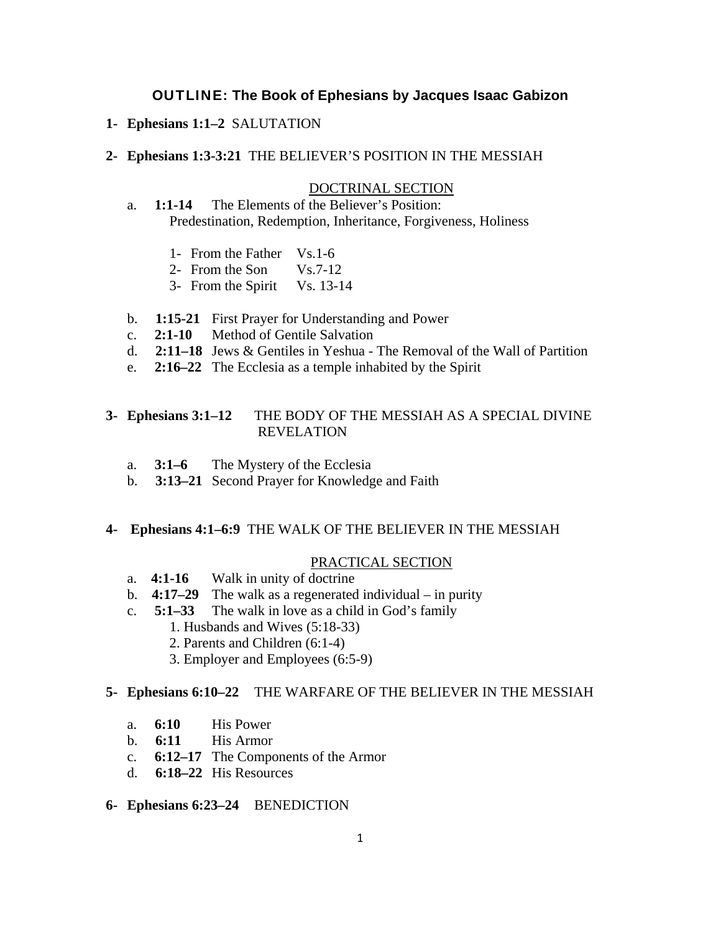### OUTLINE: **The Book of Ephesians by Jacques Isaac Gabizon**

**1- Ephesians 1:1–2** SALUTATION

### **2- Ephesians 1:3-3:21** THE BELIEVER'S POSITION IN THE MESSIAH

#### DOCTRINAL SECTION

 a. **1:1-14** The Elements of the Believer's Position: Predestination, Redemption, Inheritance, Forgiveness, Holiness

- 1- From the Father Vs.1-6
- 2- From the Son Vs.7-12
- 3- From the Spirit Vs. 13-14
- b. **1:15-21** First Prayer for Understanding and Power
- c. **2:1-10** Method of Gentile Salvation
- d. **2:11–18** Jews & Gentiles in Yeshua The Removal of the Wall of Partition
- e. **2:16–22** The Ecclesia as a temple inhabited by the Spirit

### **3- Ephesians 3:1–12** THE BODY OF THE MESSIAH AS A SPECIAL DIVINE REVELATION

- a. **3:1–6** The Mystery of the Ecclesia
- b. **3:13–21** Second Prayer for Knowledge and Faith

#### **4- Ephesians 4:1–6:9** THE WALK OF THE BELIEVER IN THE MESSIAH

### PRACTICAL SECTION

- a. **4:1-16** Walk in unity of doctrine
- b. **4:17–29** The walk as a regenerated individual in purity
- c. **5:1–33** The walk in love as a child in God's family
	- 1. Husbands and Wives (5:18-33)
	- 2. Parents and Children (6:1-4)
	- 3. Employer and Employees (6:5-9)

#### **5- Ephesians 6:10–22** THE WARFARE OF THE BELIEVER IN THE MESSIAH

- a. **6:10** His Power
- b. **6:11** His Armor
- c. **6:12–17** The Components of the Armor
- d. **6:18–22** His Resources

### **6- Ephesians 6:23–24** BENEDICTION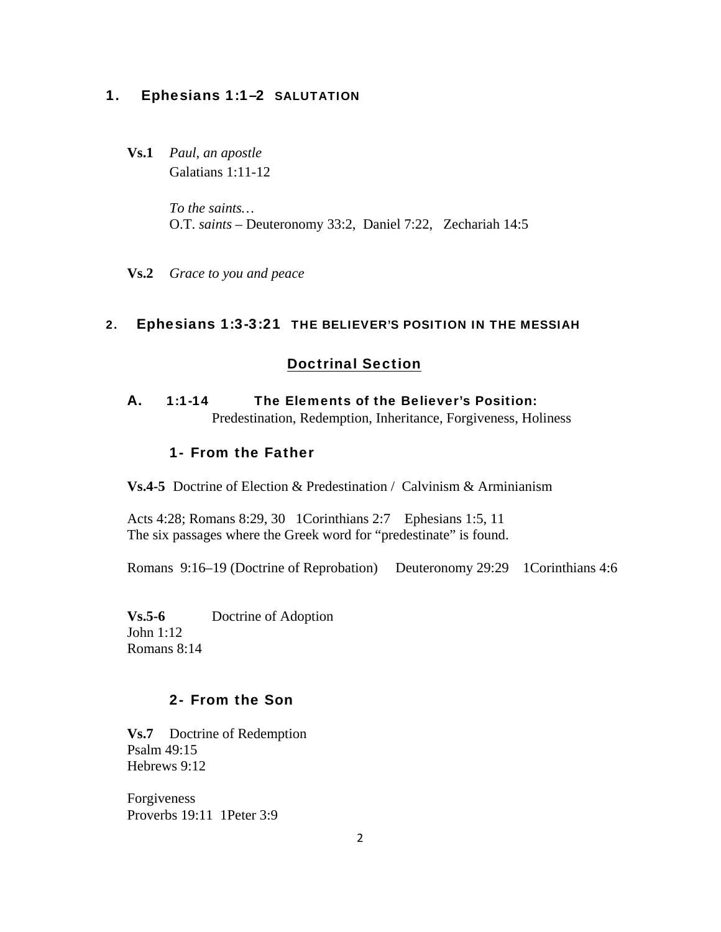### 1. Ephesians 1:1–2 SALUTATION

**Vs.1** *Paul, an apostle* Galatians 1:11-12

> *To the saints…*  O.T. *saints –* Deuteronomy 33:2, Daniel 7:22, Zechariah 14:5

**Vs.2** *Grace to you and peace* 

### 2. Ephesians 1:3-3:21 THE BELIEVER'S POSITION IN THE MESSIAH

### Doctrinal Section

A. 1:1-14 The Elements of the Believer's Position:

Predestination, Redemption, Inheritance, Forgiveness, Holiness

### 1- From the Father

**Vs.4-5** Doctrine of Election & Predestination / Calvinism & Arminianism

Acts 4:28; Romans 8:29, 30 1Corinthians 2:7 Ephesians 1:5, 11 The six passages where the Greek word for "predestinate" is found.

Romans 9:16–19 (Doctrine of Reprobation) Deuteronomy 29:29 1Corinthians 4:6

**Vs.5-6** Doctrine of Adoption John 1:12 Romans 8:14

### 2- From the Son

**Vs.7** Doctrine of Redemption Psalm 49:15 Hebrews 9:12

Forgiveness Proverbs 19:11 1Peter 3:9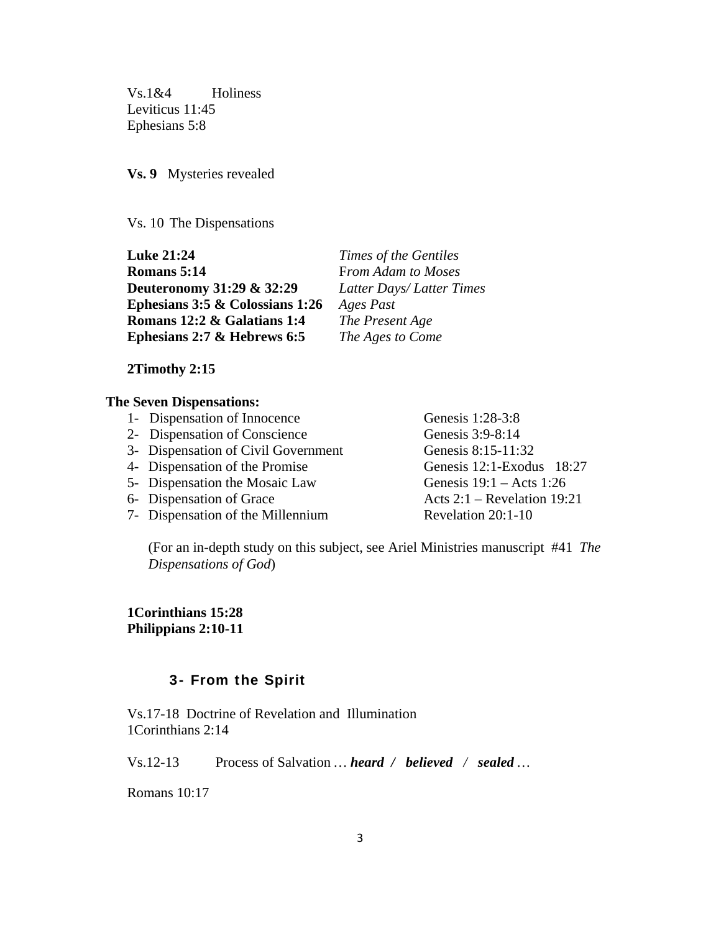Vs.1&4 Holiness Leviticus 11:45 Ephesians 5:8

**Vs. 9** Mysteries revealed

Vs. 10 The Dispensations

**Luke 21:24** *Times of the Gentiles* **Romans 5:14** From Adam to Moses **Deuteronomy 31:29 & 32:29** *Latter Days/ Latter Times*  **Ephesians 3:5 & Colossians 1:26** *Ages Past* **Romans 12:2 & Galatians 1:4** *The Present Age* **Ephesians 2:7 & Hebrews 6:5** *The Ages to Come*

#### **2Timothy 2:15**

#### **The Seven Dispensations:**

- 1- Dispensation of Innocence Genesis 1:28-3:8
- 2- Dispensation of Conscience Genesis 3:9-8:14
- 3- Dispensation of Civil Government Genesis 8:15-11:32
- 4- Dispensation of the Promise Genesis 12:1-Exodus 18:27
- 5- Dispensation the Mosaic Law Genesis 19:1 Acts 1:26
- 
- 7- Dispensation of the Millennium Revelation 20:1-10

6- Dispensation of Grace Acts 2:1 – Revelation 19:21

(For an in-depth study on this subject, see Ariel Ministries manuscript #41 *The Dispensations of God*)

**1Corinthians 15:28 Philippians 2:10-11** 

### 3- From the Spirit

Vs.17-18 Doctrine of Revelation and Illumination 1Corinthians 2:14

Vs.12-13Process of Salvation *… heard / believed / sealed …* 

Romans 10:17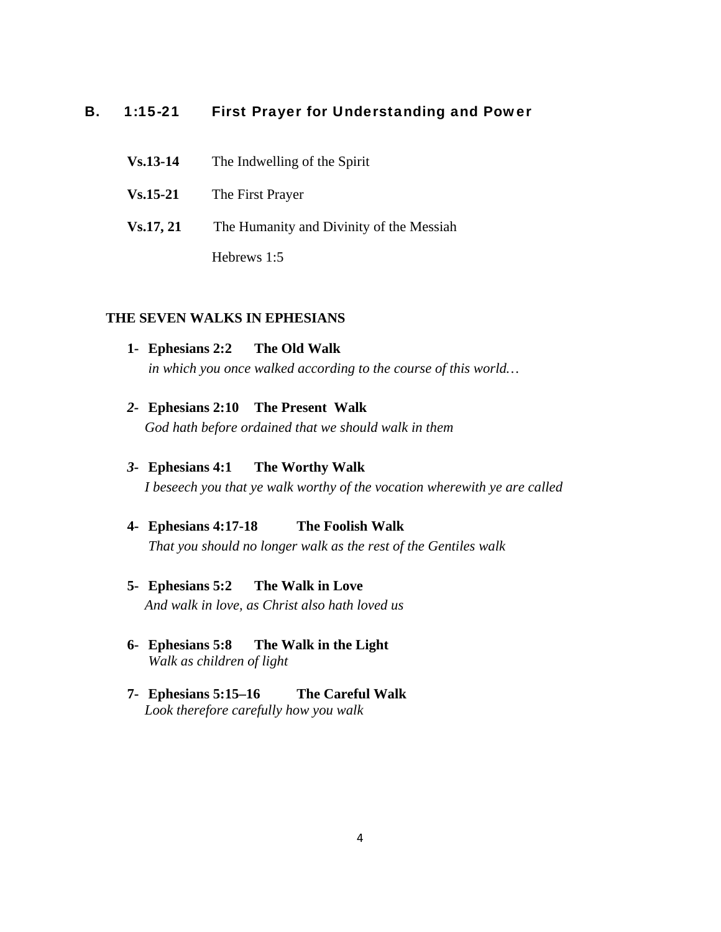### B. 1:15-21 First Prayer for Understanding and Power

| $Vs.13-14$ | The Indwelling of the Spirit             |
|------------|------------------------------------------|
| $Vs.15-21$ | The First Prayer                         |
| Vs.17, 21  | The Humanity and Divinity of the Messiah |
|            | Hebrews 1:5                              |

### **THE SEVEN WALKS IN EPHESIANS**

- **1- Ephesians 2:2 The Old Walk**   *in which you once walked according to the course of this world…*
- *2-* **Ephesians 2:10 The Present Walk** *God hath before ordained that we should walk in them*
- *3-* **Ephesians 4:1 The Worthy Walk** *I beseech you that ye walk worthy of the vocation wherewith ye are called*
- **4- Ephesians 4:17-18 The Foolish Walk**  *That you should no longer walk as the rest of the Gentiles walk*
- **5- Ephesians 5:2 The Walk in Love**   *And walk in love, as Christ also hath loved us*
- **6- Ephesians 5:8 The Walk in the Light**  *Walk as children of light*
- **7- Ephesians 5:15–16 The Careful Walk** *Look therefore carefully how you walk*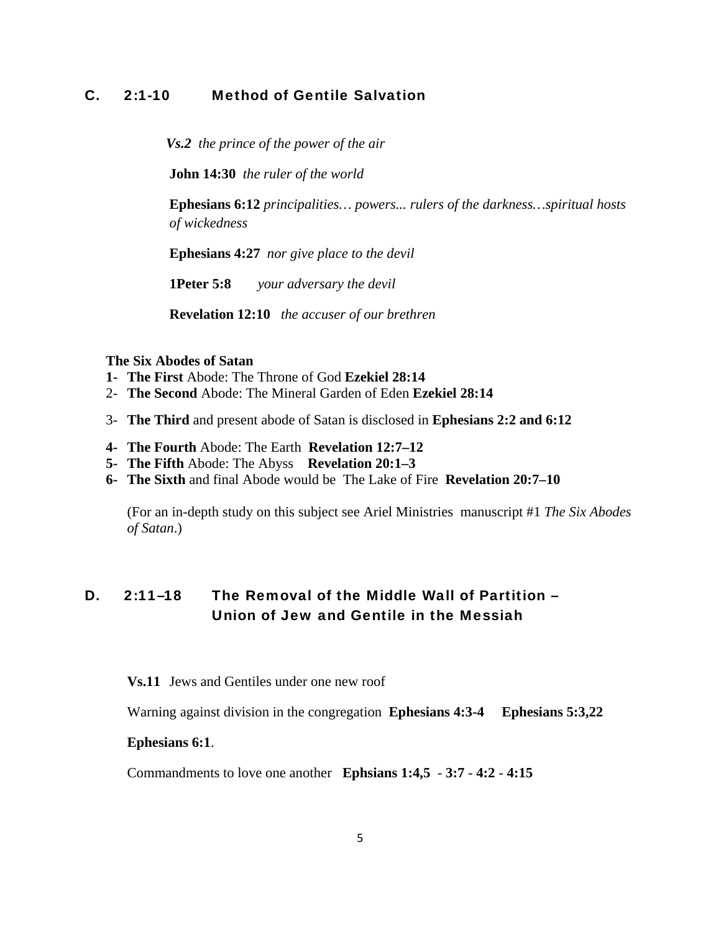### C. 2:1-10 Method of Gentile Salvation

 *Vs.2 the prince of the power of the air* 

**John 14:30** *the ruler of the world* 

**Ephesians 6:12** *principalities… powers... rulers of the darkness…spiritual hosts of wickedness* 

**Ephesians 4:27** *nor give place to the devil* 

**1Peter 5:8** *your adversary the devil* 

**Revelation 12:10** *the accuser of our brethren* 

#### **The Six Abodes of Satan**

- **1- The First** Abode: The Throne of God **Ezekiel 28:14**
- 2- **The Second** Abode: The Mineral Garden of Eden **Ezekiel 28:14**
- 3- **The Third** and present abode of Satan is disclosed in **Ephesians 2:2 and 6:12**
- **4- The Fourth** Abode: The Earth **Revelation 12:7–12**
- **5- The Fifth** Abode: The Abyss **Revelation 20:1–3**
- **6- The Sixth** and final Abode would be The Lake of Fire **Revelation 20:7–10**

(For an in-depth study on this subject see Ariel Ministries manuscript #1 *The Six Abodes of Satan*.)

## D. 2:11–18 The Removal of the Middle Wall of Partition – Union of Jew and Gentile in the Messiah

**Vs.11** Jews and Gentiles under one new roof

Warning against division in the congregation **Ephesians 4:3-4 Ephesians 5:3,22** 

#### **Ephesians 6:1**.

Commandments to love one another **Ephsians 1:4,5** - **3:7** - **4:2** - **4:15**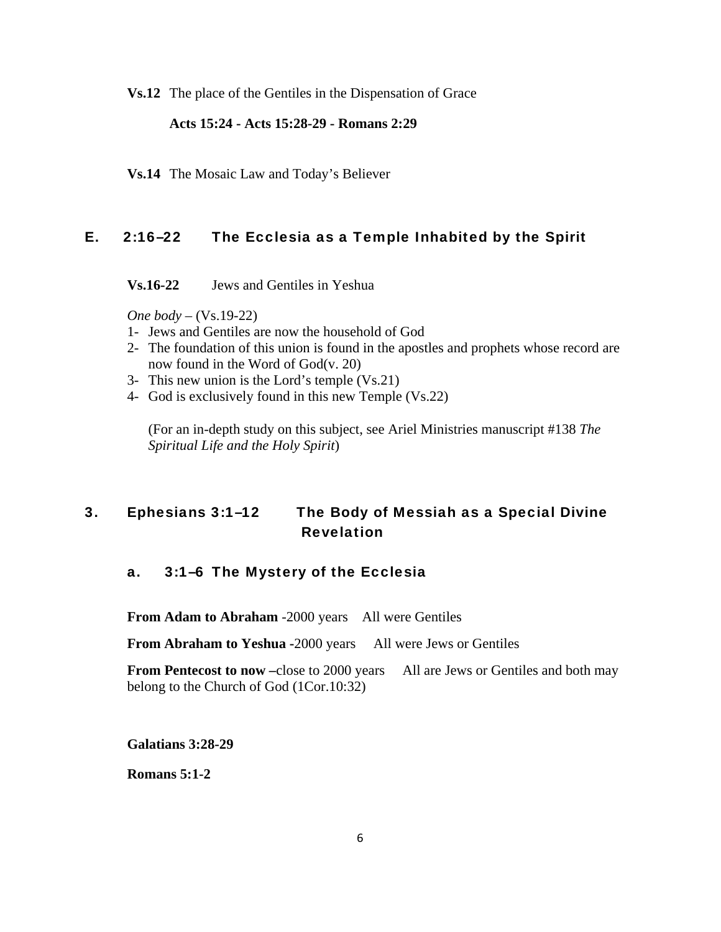**Vs.12** The place of the Gentiles in the Dispensation of Grace

### **Acts 15:24 - Acts 15:28-29 - Romans 2:29**

**Vs.14** The Mosaic Law and Today's Believer

### E. 2:16–22 The Ecclesia as a Temple Inhabited by the Spirit

**Vs.16-22** Jews and Gentiles in Yeshua

*One body* – (Vs.19-22)

- 1- Jews and Gentiles are now the household of God
- 2- The foundation of this union is found in the apostles and prophets whose record are now found in the Word of God(v. 20)
- 3- This new union is the Lord's temple (Vs.21)
- 4- God is exclusively found in this new Temple (Vs.22)

(For an in-depth study on this subject, see Ariel Ministries manuscript #138 *The Spiritual Life and the Holy Spirit*)

# 3. Ephesians 3:1–12 The Body of Messiah as a Special Divine Revelation

### a. 3:1–6 The Mystery of the Ecclesia

**From Adam to Abraham** -2000 years All were Gentiles

**From Abraham to Yeshua -**2000 years All were Jews or Gentiles

**From Pentecost to now –***close* to 2000 years All are Jews or Gentiles and both may belong to the Church of God (1Cor.10:32)

**Galatians 3:28-29**

**Romans 5:1-2**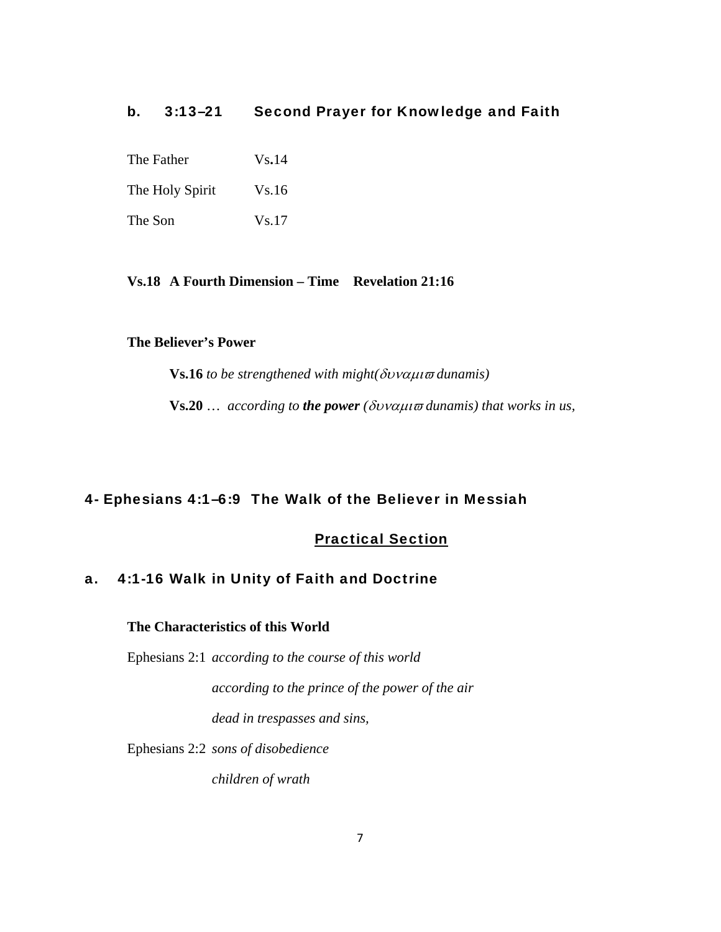### b. 3:13–21 Second Prayer for Knowledge and Faith

The Father Vs.14

The Holy Spirit Vs.16

The Son Vs.17

### **Vs.18 A Fourth Dimension – Time Revelation 21:16**

#### **The Believer's Power**

**Vs.16** *to be strengthened with might(*δυναμιϖ *dunamis)* 

**Vs.20** … *according to the power (*δυναμιϖ *dunamis) that works in us,* 

### 4- Ephesians 4:1–6:9 The Walk of the Believer in Messiah

### Practical Section

### a. 4:1-16 Walk in Unity of Faith and Doctrine

### **The Characteristics of this World**

Ephesians 2:1 *according to the course of this world* 

*according to the prince of the power of the air dead in trespasses and sins,* 

Ephesians 2:2 *sons of disobedience* 

*children of wrath*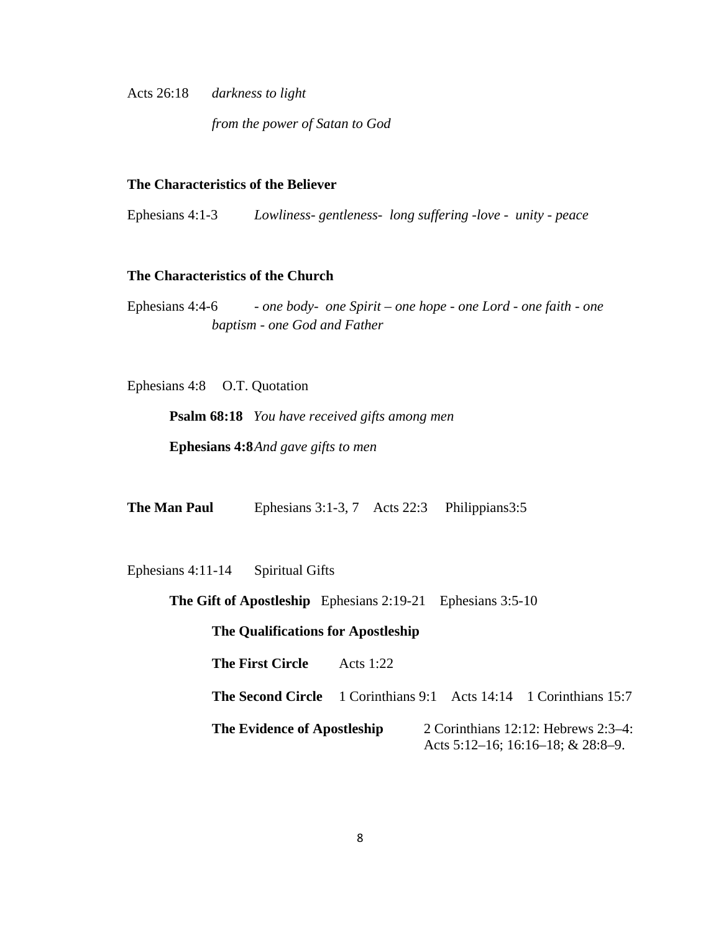Acts 26:18 *darkness to light* 

*from the power of Satan to God*

#### **The Characteristics of the Believer**

Ephesians 4:1-3 *Lowliness- gentleness- long suffering -love - unity - peace* 

### **The Characteristics of the Church**

Ephesians 4:4-6 *- one body- one Spirit – one hope - one Lord - one faith - one baptism - one God and Father* 

Ephesians 4:8 O.T. Quotation

**Psalm 68:18** *You have received gifts among men*  **Ephesians 4:8** *And gave gifts to men*

| The Man Paul | Ephesians $3:1-3, 7$ | Acts 22:3 | Philippians3:5 |
|--------------|----------------------|-----------|----------------|
|--------------|----------------------|-----------|----------------|

Ephesians 4:11-14 Spiritual Gifts

**The Gift of Apostleship** Ephesians 2:19-21 Ephesians 3:5-10

**The Qualifications for Apostleship**

**The First Circle** Acts 1:22

**The Second Circle** 1 Corinthians 9:1 Acts 14:14 1 Corinthians 15:7

**The Evidence of Apostleship** 2 Corinthians 12:12: Hebrews 2:3–4: Acts 5:12–16; 16:16–18; & 28:8–9.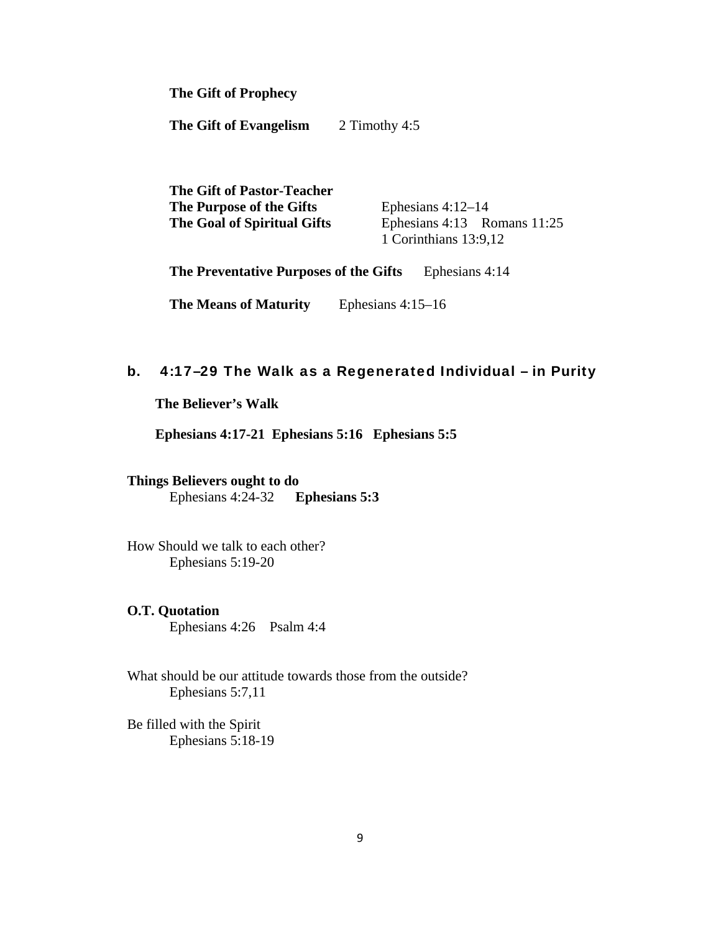**The Gift of Prophecy**

**The Gift of Evangelism** 2 Timothy 4:5

**The Gift of Pastor-Teacher The Purpose of the Gifts** Ephesians 4:12–14 **The Goal of Spiritual Gifts** Ephesians 4:13 Romans 11:25 1 Corinthians 13:9,12

**The Preventative Purposes of the Gifts** Ephesians 4:14

**The Means of Maturity** Ephesians 4:15–16

### b. 4:17–29 The Walk as a Regenerated Individual – in Purity

 **The Believer's Walk** 

 **Ephesians 4:17-21 Ephesians 5:16 Ephesians 5:5** 

# **Things Believers ought to do**

Ephesians 4:24-32 **Ephesians 5:3** 

How Should we talk to each other? Ephesians 5:19-20

### **O.T. Quotation**

Ephesians 4:26 Psalm 4:4

What should be our attitude towards those from the outside? Ephesians 5:7,11

Be filled with the Spirit Ephesians 5:18-19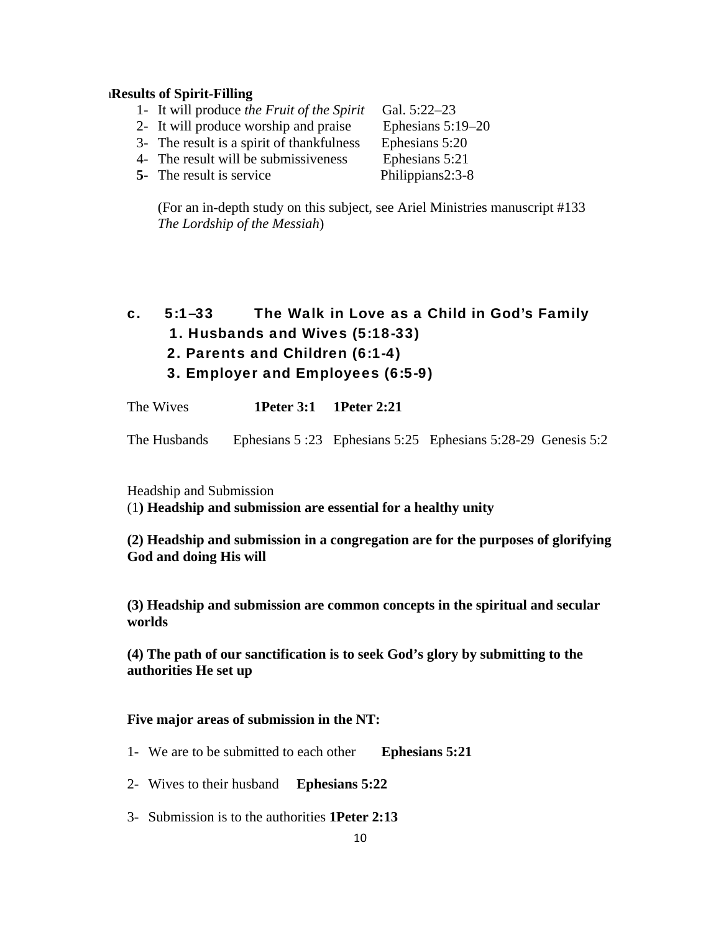#### **hResults of Spirit-Filling**

- 1- It will produce *the Fruit of the Spirit* Gal. 5:22–23
- 2- It will produce worship and praise Ephesians 5:19–20

- 3- The result is a spirit of thankfulness Ephesians 5:20
- 4- The result will be submissiveness Ephesians 5:21
- **5-** The result is service Philippians2:3-8

(For an in-depth study on this subject, see Ariel Ministries manuscript #133 *The Lordship of the Messiah*)

- c. 5:1–33 The Walk in Love as a Child in God's Family
	- 1. Husbands and Wives (5:18-33)
	- 2. Parents and Children (6:1-4)
	- 3. Employer and Employees (6:5-9)

The Wives **1Peter 3:1 1Peter 2:21** 

The Husbands Ephesians 5 :23 Ephesians 5:25 Ephesians 5:28-29 Genesis 5:2

Headship and Submission

(1**) Headship and submission are essential for a healthy unity**

**(2) Headship and submission in a congregation are for the purposes of glorifying God and doing His will**

**(3) Headship and submission are common concepts in the spiritual and secular worlds**

**(4) The path of our sanctification is to seek God's glory by submitting to the authorities He set up**

### **Five major areas of submission in the NT:**

- 1- We are to be submitted to each other **Ephesians 5:21**
- 2- Wives to their husband **Ephesians 5:22**
- 3- Submission is to the authorities **1Peter 2:13**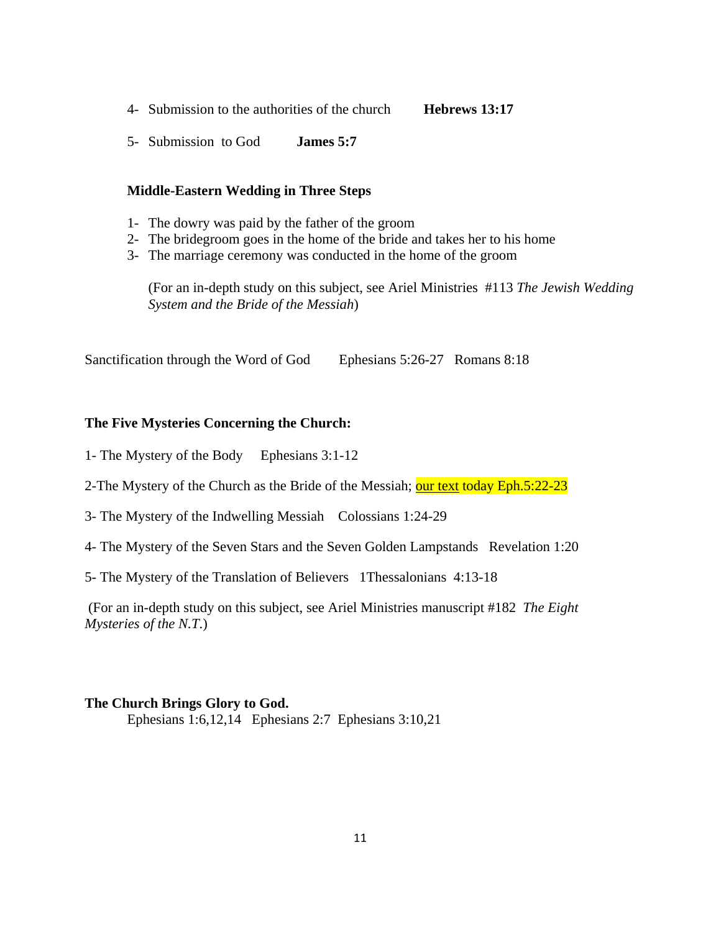- 4- Submission to the authorities of the church **Hebrews 13:17**
- 5- Submission to God **James 5:7**

#### **Middle-Eastern Wedding in Three Steps**

- 1- The dowry was paid by the father of the groom
- 2- The bridegroom goes in the home of the bride and takes her to his home
- 3- The marriage ceremony was conducted in the home of the groom

(For an in-depth study on this subject, see Ariel Ministries #113 *The Jewish Wedding System and the Bride of the Messiah*)

Sanctification through the Word of God Ephesians 5:26-27 Romans 8:18

### **The Five Mysteries Concerning the Church:**

- 1- The Mystery of the Body Ephesians 3:1-12
- 2-The Mystery of the Church as the Bride of the Messiah; our text today Eph.5:22-23
- 3- The Mystery of the Indwelling Messiah Colossians 1:24-29
- 4- The Mystery of the Seven Stars and the Seven Golden Lampstands Revelation 1:20
- 5- The Mystery of the Translation of Believers 1Thessalonians 4:13-18

 (For an in-depth study on this subject, see Ariel Ministries manuscript #182 *The Eight Mysteries of the N.T*.)

#### **The Church Brings Glory to God.**

Ephesians 1:6,12,14 Ephesians 2:7 Ephesians 3:10,21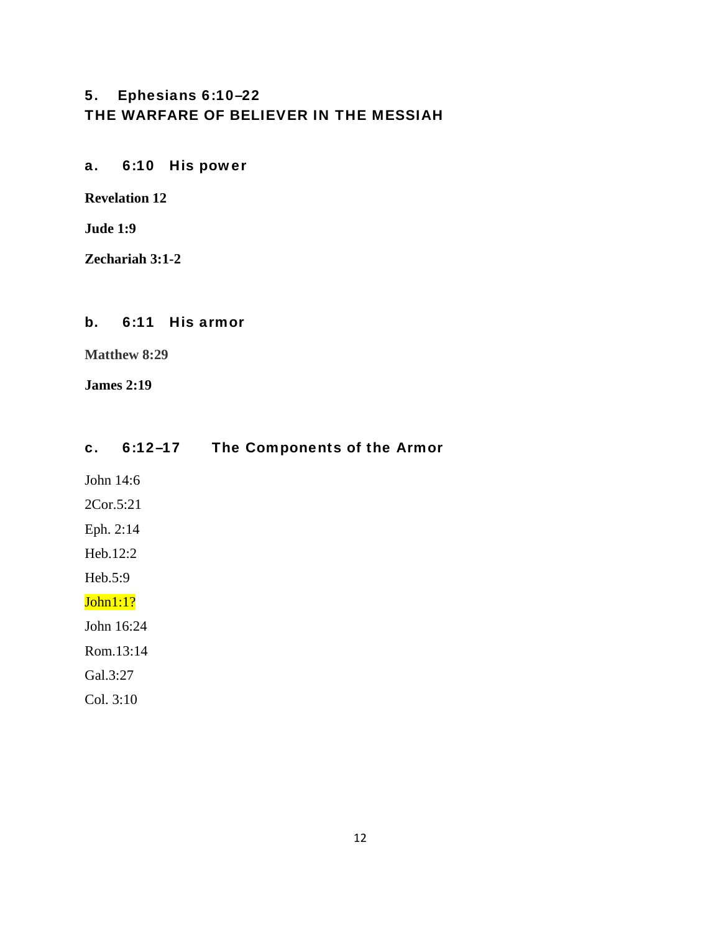# 5. Ephesians 6:10–22 THE WARFARE OF BELIEVER IN THE MESSIAH

a. 6:10 His power

**Revelation 12**

**Jude 1:9** 

**Zechariah 3:1-2**

### b. 6:11 His armor

**Matthew 8:29** 

**James 2:19** 

## c. 6:12–17 The Components of the Armor

John 14:6

- 2Cor.5:21
- Eph. 2:14
- Heb.12:2

Heb.5:9

# John1:1?

John 16:24

Rom.13:14

Gal.3:27

Col. 3:10